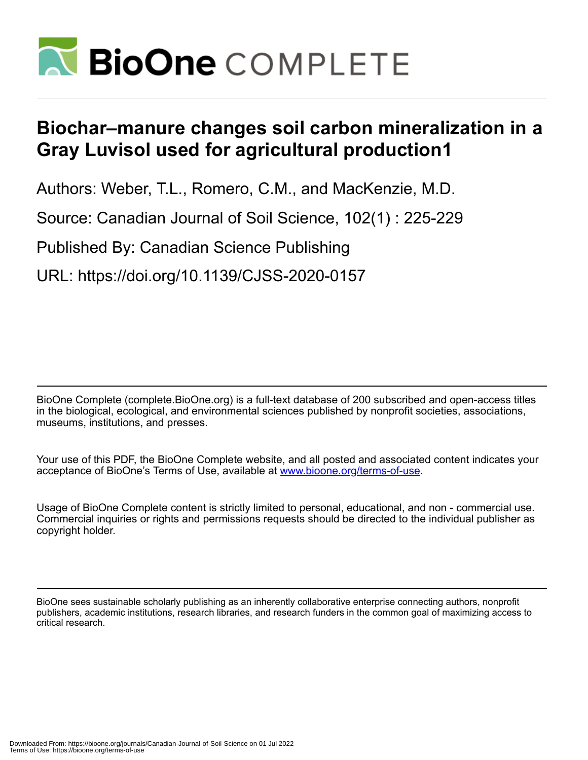

# **Biochar–manure changes soil carbon mineralization in a Gray Luvisol used for agricultural production1**

Authors: Weber, T.L., Romero, C.M., and MacKenzie, M.D.

Source: Canadian Journal of Soil Science, 102(1) : 225-229

Published By: Canadian Science Publishing

URL: https://doi.org/10.1139/CJSS-2020-0157

BioOne Complete (complete.BioOne.org) is a full-text database of 200 subscribed and open-access titles in the biological, ecological, and environmental sciences published by nonprofit societies, associations, museums, institutions, and presses.

Your use of this PDF, the BioOne Complete website, and all posted and associated content indicates your acceptance of BioOne's Terms of Use, available at www.bioone.org/terms-of-use.

Usage of BioOne Complete content is strictly limited to personal, educational, and non - commercial use. Commercial inquiries or rights and permissions requests should be directed to the individual publisher as copyright holder.

BioOne sees sustainable scholarly publishing as an inherently collaborative enterprise connecting authors, nonprofit publishers, academic institutions, research libraries, and research funders in the common goal of maximizing access to critical research.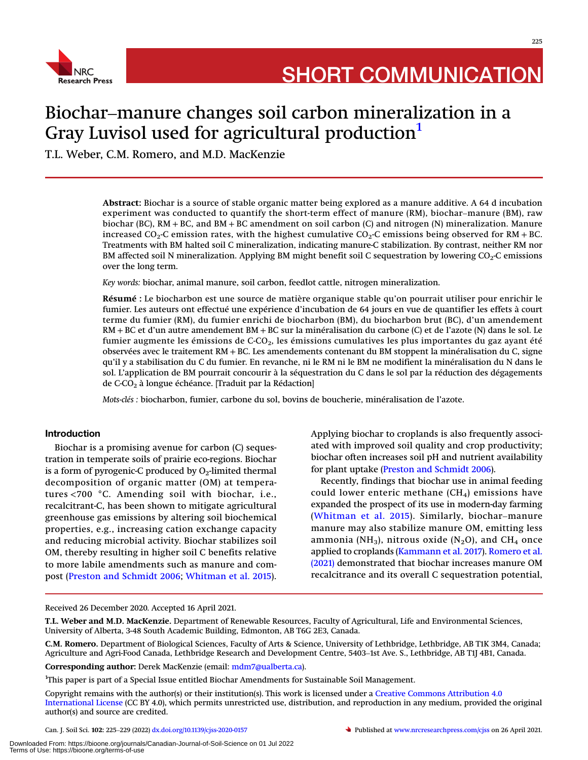

## Biochar–manure changes soil carbon mineralization in a Gray Luvisol used for agricultural production<sup>[1](#page-1-0)</sup>

T.L. Weber, C.M. Romero, and M.D. MacKenzie

Abstract: Biochar is a source of stable organic matter being explored as a manure additive. A 64 d incubation experiment was conducted to quantify the short-term effect of manure (RM), biochar–manure (BM), raw biochar (BC), RM + BC, and BM + BC amendment on soil carbon (C) and nitrogen (N) mineralization. Manure increased CO<sub>2</sub>-C emission rates, with the highest cumulative CO<sub>2</sub>-C emissions being observed for RM + BC. Treatments with BM halted soil C mineralization, indicating manure-C stabilization. By contrast, neither RM nor BM affected soil N mineralization. Applying BM might benefit soil C sequestration by lowering  $CO<sub>2</sub>$ -C emissions over the long term.

Key words: biochar, animal manure, soil carbon, feedlot cattle, nitrogen mineralization.

Résumé : Le biocharbon est une source de matière organique stable qu'on pourrait utiliser pour enrichir le fumier. Les auteurs ont effectué une expérience d'incubation de 64 jours en vue de quantifier les effets à court terme du fumier (RM), du fumier enrichi de biocharbon (BM), du biocharbon brut (BC), d'un amendement RM + BC et d'un autre amendement BM + BC sur la minéralisation du carbone (C) et de l'azote (N) dans le sol. Le fumier augmente les émissions de  $C-CO<sub>2</sub>$ , les émissions cumulatives les plus importantes du gaz ayant été observées avec le traitement RM + BC. Les amendements contenant du BM stoppent la minéralisation du C, signe qu'il y a stabilisation du C du fumier. En revanche, ni le RM ni le BM ne modifient la minéralisation du N dans le sol. L'application de BM pourrait concourir à la séquestration du C dans le sol par la réduction des dégagements de C-CO2 à longue échéance. [Traduit par la Rédaction]

Mots-clés : biocharbon, fumier, carbone du sol, bovins de boucherie, minéralisation de l'azote.

## Introduction

Biochar is a promising avenue for carbon (C) sequestration in temperate soils of prairie eco-regions. Biochar is a form of pyrogenic-C produced by  $O<sub>2</sub>$ -limited thermal decomposition of organic matter (OM) at temperatures <700 °C. Amending soil with biochar, i.e., recalcitrant-C, has been shown to mitigate agricultural greenhouse gas emissions by altering soil biochemical properties, e.g., increasing cation exchange capacity and reducing microbial activity. Biochar stabilizes soil OM, thereby resulting in higher soil C benefits relative to more labile amendments such as manure and compost [\(Preston and Schmidt 2006](#page-4-0); [Whitman et al. 2015\)](#page-5-0).

Applying biochar to croplands is also frequently associated with improved soil quality and crop productivity; biochar often increases soil pH and nutrient availability for plant uptake [\(Preston and Schmidt 2006\)](#page-4-0).

Recently, findings that biochar use in animal feeding could lower enteric methane  $(CH<sub>4</sub>)$  emissions have expanded the prospect of its use in modern-day farming ([Whitman et al. 2015\)](#page-5-0). Similarly, biochar–manure manure may also stabilize manure OM, emitting less ammonia (NH<sub>3</sub>), nitrous oxide (N<sub>2</sub>O), and CH<sub>4</sub> once applied to croplands ([Kammann et al. 2017](#page-4-1)). [Romero et al.](#page-4-2) [\(2021\)](#page-4-2) demonstrated that biochar increases manure OM recalcitrance and its overall C sequestration potential,

Received 26 December 2020. Accepted 16 April 2021.

T.L. Weber and M.D. MacKenzie. Department of Renewable Resources, Faculty of Agricultural, Life and Environmental Sciences, University of Alberta, 3-48 South Academic Building, Edmonton, AB T6G 2E3, Canada.

C.M. Romero. Department of Biological Sciences, Faculty of Arts & Science, University of Lethbridge, Lethbridge, AB T1K 3M4, Canada; Agriculture and Agri-Food Canada, Lethbridge Research and Development Centre, 5403–1st Ave. S., Lethbridge, AB T1J 4B1, Canada.

Corresponding author: Derek MacKenzie (email: [mdm7@ualberta.ca\)](mailto:mdm7@ualberta.ca).

<span id="page-1-0"></span><sup>1</sup>This paper is part of a Special Issue entitled Biochar Amendments for Sustainable Soil Management.

Copyright remains with the author(s) or their institution(s). This work is licensed under a [Creative Commons Attribution 4.0](http://creativecommons.org/license/by/4.0/) [International License](http://creativecommons.org/license/by/4.0/) (CC BY 4.0), which permits unrestricted use, distribution, and reproduction in any medium, provided the original author(s) and source are credited.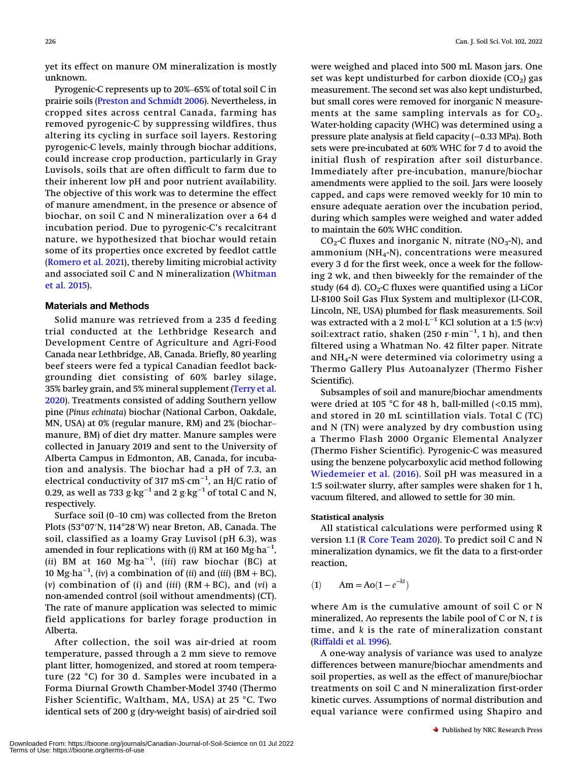yet its effect on manure OM mineralization is mostly unknown.

Pyrogenic-C represents up to 20%–65% of total soil C in prairie soils ([Preston and Schmidt 2006\)](#page-4-0). Nevertheless, in cropped sites across central Canada, farming has removed pyrogenic-C by suppressing wildfires, thus altering its cycling in surface soil layers. Restoring pyrogenic-C levels, mainly through biochar additions, could increase crop production, particularly in Gray Luvisols, soils that are often difficult to farm due to their inherent low pH and poor nutrient availability. The objective of this work was to determine the effect of manure amendment, in the presence or absence of biochar, on soil C and N mineralization over a 64 d incubation period. Due to pyrogenic-C's recalcitrant nature, we hypothesized that biochar would retain some of its properties once excreted by feedlot cattle ([Romero et al. 2021](#page-4-2)), thereby limiting microbial activity and associated soil C and N mineralization [\(Whitman](#page-5-0) [et al. 2015\)](#page-5-0).

## Materials and Methods

Solid manure was retrieved from a 235 d feeding trial conducted at the Lethbridge Research and Development Centre of Agriculture and Agri-Food Canada near Lethbridge, AB, Canada. Briefly, 80 yearling beef steers were fed a typical Canadian feedlot backgrounding diet consisting of 60% barley silage, 35% barley grain, and 5% mineral supplement [\(Terry et al.](#page-5-1) [2020\)](#page-5-1). Treatments consisted of adding Southern yellow pine (Pinus echinata) biochar (National Carbon, Oakdale, MN, USA) at 0% (regular manure, RM) and 2% (biochar– manure, BM) of diet dry matter. Manure samples were collected in January 2019 and sent to the University of Alberta Campus in Edmonton, AB, Canada, for incubation and analysis. The biochar had a pH of 7.3, an electrical conductivity of 317 mS·cm<sup>−1</sup>, an H/C ratio of 0.29, as well as 733  $g·kg<sup>-1</sup>$  and 2  $g·kg<sup>-1</sup>$  of total C and N, respectively.

Surface soil (0–10 cm) was collected from the Breton Plots (53°07′N, 114°28′W) near Breton, AB, Canada. The soil, classified as a loamy Gray Luvisol (pH 6.3), was amended in four replications with (i) RM at 160  ${ {\rm Mg\cdot ha}^{-1}} ,$ (ii) BM at 160  $Mg·ha^{-1}$ , (iii) raw biochar (BC) at 10 Mg·ha<sup>-1</sup>, (iv) a combination of (ii) and (iii) (BM + BC), (v) combination of (i) and (iii)  $(RM + BC)$ , and (vi) a non-amended control (soil without amendments) (CT). The rate of manure application was selected to mimic field applications for barley forage production in Alberta.

After collection, the soil was air-dried at room temperature, passed through a 2 mm sieve to remove plant litter, homogenized, and stored at room temperature (22 °C) for 30 d. Samples were incubated in a Forma Diurnal Growth Chamber-Model 3740 (Thermo Fisher Scientific, Waltham, MA, USA) at 25 °C. Two identical sets of 200 g (dry-weight basis) of air-dried soil

were weighed and placed into 500 mL Mason jars. One set was kept undisturbed for carbon dioxide  $(CO<sub>2</sub>)$  gas measurement. The second set was also kept undisturbed, but small cores were removed for inorganic N measurements at the same sampling intervals as for  $CO<sub>2</sub>$ . Water-holding capacity (WHC) was determined using a pressure plate analysis at field capacity (−0.33 MPa). Both sets were pre-incubated at 60% WHC for 7 d to avoid the initial flush of respiration after soil disturbance. Immediately after pre-incubation, manure/biochar amendments were applied to the soil. Jars were loosely capped, and caps were removed weekly for 10 min to ensure adequate aeration over the incubation period, during which samples were weighed and water added to maintain the 60% WHC condition.

 $CO<sub>2</sub>$ -C fluxes and inorganic N, nitrate (NO<sub>3</sub>-N), and ammonium ( $NH_4-N$ ), concentrations were measured every 3 d for the first week, once a week for the following 2 wk, and then biweekly for the remainder of the study (64 d).  $CO<sub>2</sub>$ -C fluxes were quantified using a LiCor LI-8100 Soil Gas Flux System and multiplexor (LI-COR, Lincoln, NE, USA) plumbed for flask measurements. Soil was extracted with a 2 mol⋅L<sup>-1</sup> KCl solution at a 1:5 (w:v) soil:extract ratio, shaken (250 r·min−<sup>1</sup> , 1 h), and then filtered using a Whatman No. 42 filter paper. Nitrate and NH4-N were determined via colorimetry using a Thermo Gallery Plus Autoanalyzer (Thermo Fisher Scientific).

Subsamples of soil and manure/biochar amendments were dried at 105 °C for 48 h, ball-milled  $\left($  < 0.15 mm), and stored in 20 mL scintillation vials. Total C (TC) and N (TN) were analyzed by dry combustion using a Thermo Flash 2000 Organic Elemental Analyzer (Thermo Fisher Scientific). Pyrogenic-C was measured using the benzene polycarboxylic acid method following [Wiedemeier et al. \(2016\)](#page-5-2). Soil pH was measured in a 1:5 soil:water slurry, after samples were shaken for 1 h, vacuum filtered, and allowed to settle for 30 min.

## Statistical analysis

All statistical calculations were performed using R version 1.1 ([R Core Team 2020\)](#page-4-3). To predict soil C and N mineralization dynamics, we fit the data to a first-order reaction,

(1)  $Am = Ao(1 - e^{-kt})$ 

where Am is the cumulative amount of soil C or N mineralized, Ao represents the labile pool of C or N, t is time, and k is the rate of mineralization constant ([Riffaldi et al. 1996\)](#page-4-4).

A one-way analysis of variance was used to analyze differences between manure/biochar amendments and soil properties, as well as the effect of manure/biochar treatments on soil C and N mineralization first-order kinetic curves. Assumptions of normal distribution and equal variance were confirmed using Shapiro and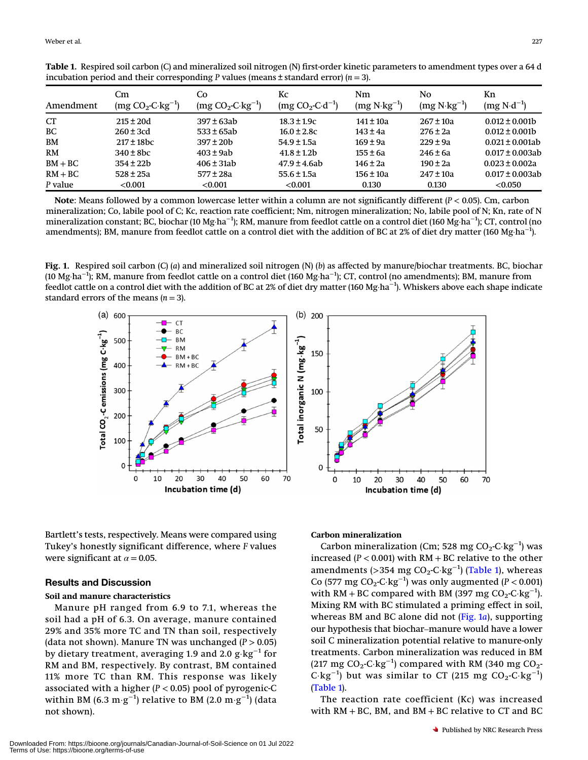| Amendment | Cm<br>$(mg CO2-C·kg-1)$ | Co<br>$(mg CO2-C·kg-1)$ | Kc<br>$(mg CO2 - C \cdot d^{-1})$ | Nm<br>$(mg N \cdot kg^{-1})$ | No.<br>$(mg N \cdot kg^{-1})$ | Kn<br>$(mg N \cdot d^{-1})$ |
|-----------|-------------------------|-------------------------|-----------------------------------|------------------------------|-------------------------------|-----------------------------|
| <b>CT</b> | $215 \pm 20d$           | 397 ± 63ab              | $18.3 \pm 1.9c$                   | $141 \pm 10a$                | $267 \pm 10a$                 | $0.012 \pm 0.001b$          |
| <b>BC</b> | $260 \pm 3$ cd          | $533 \pm 65ab$          | $16.0 \pm 2.8c$                   | $143 \pm 4a$                 | $276 \pm 2a$                  | $0.012 \pm 0.001$           |
| <b>BM</b> | $217 \pm 18$ bc         | $397 \pm 20$ b          | $54.9 \pm 1.5a$                   | $169 \pm 9a$                 | $229 \pm 9a$                  | $0.021 + 0.001ab$           |
| <b>RM</b> | $340 \pm 8$ bc          | $403 + 9ab$             | $41.8 \pm 1.2b$                   | $155 \pm 6a$                 | $246 \pm 6a$                  | $0.017 \pm 0.003$ ab        |
| $BM + BC$ | $354 + 22h$             | $406 \pm 31ab$          | $47.9 \pm 4.6$ ab                 | $146 \pm 2a$                 | $190 \pm 2a$                  | $0.023 \pm 0.002a$          |
| $RM + BC$ | $528 \pm 25a$           | $577 \pm 28a$           | $55.6 \pm 1.5a$                   | $156 \pm 10a$                | $247 \pm 10a$                 | $0.017 \pm 0.003$ ab        |
| P value   | < 0.001                 | < 0.001                 | < 0.001                           | 0.130                        | 0.130                         | < 0.050                     |

<span id="page-3-0"></span>Table 1. Respired soil carbon (C) and mineralized soil nitrogen (N) first-order kinetic parameters to amendment types over a 64 d incubation period and their corresponding P values (means  $\pm$  standard error) ( $n = 3$ ).

Note: Means followed by a common lowercase letter within a column are not significantly different  $(P < 0.05)$ . Cm, carbon mineralization; Co, labile pool of C; Kc, reaction rate coefficient; Nm, nitrogen mineralization; No, labile pool of N; Kn, rate of N mineralization constant; BC, biochar (10 Mg·ha<sup>−1</sup>); RM, manure from feedlot cattle on a control diet (160 Mg·ha<sup>−1</sup>); CT, control (no amendments); BM, manure from feedlot cattle on a control diet with the addition of BC at 2% of diet dry matter (160 Mg·ha<sup>−1</sup>).

<span id="page-3-1"></span>Fig. 1. Respired soil carbon (C) (a) and mineralized soil nitrogen (N) (b) as affected by manure/biochar treatments. BC, biochar (10 Mg·ha<sup>−1</sup>); RM, manure from feedlot cattle on a control diet (160 Mg·ha<sup>−1</sup>); CT, control (no amendments); BM, manure from feedlot cattle on a control diet with the addition of BC at 2% of diet dry matter (160 Mg·ha−<sup>1</sup> ). Whiskers above each shape indicate standard errors of the means  $(n = 3)$ .



Bartlett's tests, respectively. Means were compared using Tukey's honestly significant difference, where F values were significant at  $\alpha = 0.05$ .

#### Results and Discussion

## Soil and manure characteristics

Manure pH ranged from 6.9 to 7.1, whereas the soil had a pH of 6.3. On average, manure contained 29% and 35% more TC and TN than soil, respectively (data not shown). Manure TN was unchanged  $(P > 0.05)$ by dietary treatment, averaging 1.9 and 2.0 g·kg−<sup>1</sup> for RM and BM, respectively. By contrast, BM contained 11% more TC than RM. This response was likely associated with a higher  $(P < 0.05)$  pool of pyrogenic-C within BM (6.3  $\mathrm{m}\!\cdot\!\mathrm{g}^{-1}$ ) relative to BM (2.0  $\mathrm{m}\!\cdot\!\mathrm{g}^{-1}$ ) (data not shown).

## Carbon mineralization

Carbon mineralization (Cm; 528 mg CO<sub>2</sub>-C·kg<sup>-1</sup>) was increased ( $P < 0.001$ ) with RM + BC relative to the other amendments (>354 mg CO<sub>2</sub>-C·kg<sup>−1</sup>) (T<mark>able 1</mark>), whereas Co (577 mg CO<sub>2</sub>-C·kg<sup>-1</sup>) was only augmented ( $P < 0.001$ ) with RM + BC compared with BM (397 mg  $CO_2$ -C·kg<sup>-1</sup>). Mixing RM with BC stimulated a priming effect in soil, whereas BM and BC alone did not  $(Fig. 1a)$  $(Fig. 1a)$ , supporting our hypothesis that biochar–manure would have a lower soil C mineralization potential relative to manure-only treatments. Carbon mineralization was reduced in BM (217 mg CO<sub>2</sub>-C·kg<sup>−1</sup>) compared with RM (340 mg CO<sub>2</sub>-C·kg<sup>-1</sup>) but was similar to CT (215 mg CO<sub>2</sub>-C·kg<sup>-1</sup>) ([Table 1](#page-3-0)).

50

60

70

The reaction rate coefficient (Kc) was increased with  $RM + BC$ , BM, and  $BM + BC$  relative to CT and BC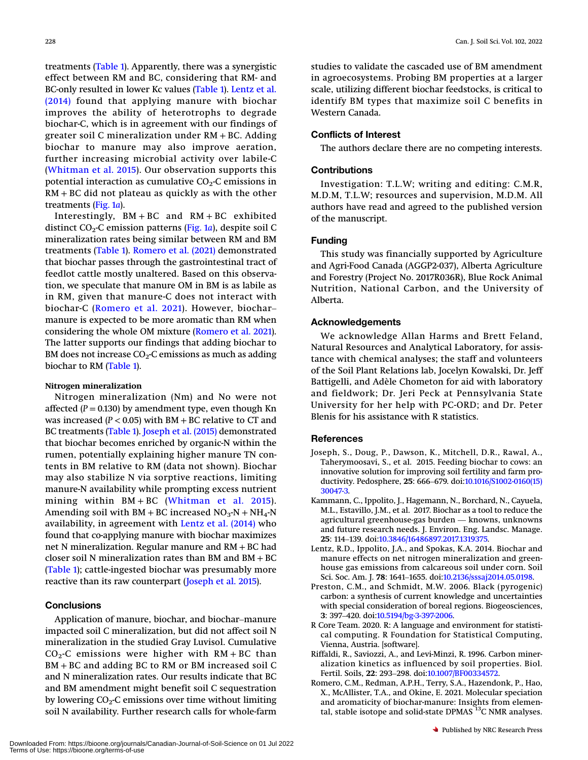treatments ([Table 1](#page-3-0)). Apparently, there was a synergistic effect between RM and BC, considering that RM- and BC-only resulted in lower Kc values ([Table 1](#page-3-0)). [Lentz et al.](#page-4-5) [\(2014\)](#page-4-5) found that applying manure with biochar improves the ability of heterotrophs to degrade biochar-C, which is in agreement with our findings of greater soil C mineralization under RM + BC. Adding biochar to manure may also improve aeration, further increasing microbial activity over labile-C ([Whitman et al. 2015](#page-5-0)). Our observation supports this potential interaction as cumulative  $CO<sub>2</sub>$ -C emissions in RM + BC did not plateau as quickly as with the other treatments [\(Fig. 1](#page-3-1)a).

Interestingly, BM + BC and RM + BC exhibited distinct  $CO<sub>2</sub>$ -C emission patterns ([Fig. 1](#page-3-1)a), despite soil C mineralization rates being similar between RM and BM treatments [\(Table 1\)](#page-3-0). [Romero et al. \(2021\)](#page-4-2) demonstrated that biochar passes through the gastrointestinal tract of feedlot cattle mostly unaltered. Based on this observation, we speculate that manure OM in BM is as labile as in RM, given that manure-C does not interact with biochar-C ([Romero et al. 2021\)](#page-4-2). However, biochar– manure is expected to be more aromatic than RM when considering the whole OM mixture ([Romero et al. 2021](#page-4-2)). The latter supports our findings that adding biochar to BM does not increase  $CO<sub>2</sub>$ -C emissions as much as adding biochar to RM ([Table 1](#page-3-0)).

#### Nitrogen mineralization

Nitrogen mineralization (Nm) and No were not affected ( $P = 0.130$ ) by amendment type, even though Kn was increased ( $P < 0.05$ ) with BM + BC relative to CT and BC treatments ([Table 1\)](#page-3-0). [Joseph et al. \(2015\)](#page-4-6) demonstrated that biochar becomes enriched by organic-N within the rumen, potentially explaining higher manure TN contents in BM relative to RM (data not shown). Biochar may also stabilize N via sorptive reactions, limiting manure-N availability while prompting excess nutrient mining within BM + BC ([Whitman et al. 2015\)](#page-5-0). Amending soil with BM + BC increased  $NO<sub>3</sub>-N + NH<sub>4</sub>-N$ availability, in agreement with [Lentz et al. \(2014\)](#page-4-5) who found that co-applying manure with biochar maximizes net N mineralization. Regular manure and RM + BC had closer soil N mineralization rates than BM and BM + BC ([Table 1](#page-3-0)); cattle-ingested biochar was presumably more reactive than its raw counterpart ([Joseph et al. 2015](#page-4-6)).

## **Conclusions**

Application of manure, biochar, and biochar–manure impacted soil C mineralization, but did not affect soil N mineralization in the studied Gray Luvisol. Cumulative  $CO<sub>2</sub>$ -C emissions were higher with RM + BC than BM + BC and adding BC to RM or BM increased soil C and N mineralization rates. Our results indicate that BC and BM amendment might benefit soil C sequestration by lowering  $CO<sub>2</sub>$ -C emissions over time without limiting soil N availability. Further research calls for whole-farm

studies to validate the cascaded use of BM amendment in agroecosystems. Probing BM properties at a larger scale, utilizing different biochar feedstocks, is critical to identify BM types that maximize soil C benefits in Western Canada.

## Conflicts of Interest

The authors declare there are no competing interests.

## **Contributions**

Investigation: T.L.W; writing and editing: C.M.R, M.D.M, T.L.W; resources and supervision, M.D.M. All authors have read and agreed to the published version of the manuscript.

#### Funding

This study was financially supported by Agriculture and Agri-Food Canada (AGGP2-037), Alberta Agriculture and Forestry (Project No. 2017R036R), Blue Rock Animal Nutrition, National Carbon, and the University of Alberta.

#### Acknowledgements

We acknowledge Allan Harms and Brett Feland, Natural Resources and Analytical Laboratory, for assistance with chemical analyses; the staff and volunteers of the Soil Plant Relations lab, Jocelyn Kowalski, Dr. Jeff Battigelli, and Adèle Chometon for aid with laboratory and fieldwork; Dr. Jeri Peck at Pennsylvania State University for her help with PC-ORD; and Dr. Peter Blenis for his assistance with R statistics.

#### <span id="page-4-6"></span>**References**

- Joseph, S., Doug, P., Dawson, K., Mitchell, D.R., Rawal, A., Taherymoosavi, S., et al. 2015. Feeding biochar to cows: an innovative solution for improving soil fertility and farm productivity. Pedosphere, <sup>25</sup>: 666–679. doi[:10.1016/S1002-0160\(15\)](http://dx.doi.org/10.1016/S1002-0160(15)30047-3) [30047-3.](http://dx.doi.org/10.1016/S1002-0160(15)30047-3)
- <span id="page-4-1"></span>Kammann, C., Ippolito, J., Hagemann, N., Borchard, N., Cayuela, M.L., Estavillo, J.M., et al. 2017. Biochar as a tool to reduce the agricultural greenhouse-gas burden — knowns, unknowns and future research needs. J. Environ. Eng. Landsc. Manage. <sup>25</sup>: 114–139. doi:[10.3846/16486897.2017.1319375.](http://dx.doi.org/10.3846/16486897.2017.1319375)
- <span id="page-4-5"></span>Lentz, R.D., Ippolito, J.A., and Spokas, K.A. 2014. Biochar and manure effects on net nitrogen mineralization and greenhouse gas emissions from calcareous soil under corn. Soil Sci. Soc. Am. J. <sup>78</sup>: 1641–1655. doi:[10.2136/sssaj2014.05.0198.](http://dx.doi.org/10.2136/sssaj2014.05.0198)
- <span id="page-4-0"></span>Preston, C.M., and Schmidt, M.W. 2006. Black (pyrogenic) carbon: a synthesis of current knowledge and uncertainties with special consideration of boreal regions. Biogeosciences, <sup>3</sup>: 397–420. doi:[10.5194/bg-3-397-2006.](http://dx.doi.org/10.5194/bg-3-397-2006)
- <span id="page-4-4"></span><span id="page-4-3"></span>R Core Team. 2020. R: A language and environment for statistical computing. R Foundation for Statistical Computing, Vienna, Austria. [software].
- <span id="page-4-2"></span>Riffaldi, R., Saviozzi, A., and Levi-Minzi, R. 1996. Carbon mineralization kinetics as influenced by soil properties. Biol. Fertil. Soils, <sup>22</sup>: 293–298. doi[:10.1007/BF00334572.](http://dx.doi.org/10.1007/BF00334572)
- Romero, C.M., Redman, A.P.H., Terry, S.A., Hazendonk, P., Hao, X., McAllister, T.A., and Okine, E. 2021. Molecular speciation and aromaticity of biochar-manure: Insights from elemental, stable isotope and solid-state DPMAS  $^{13}$ C NMR analyses.